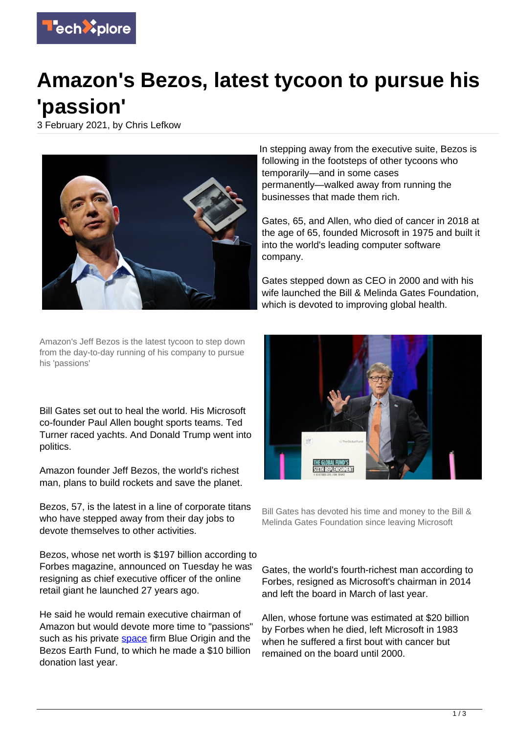

## **Amazon's Bezos, latest tycoon to pursue his 'passion'**

3 February 2021, by Chris Lefkow



In stepping away from the executive suite, Bezos is following in the footsteps of other tycoons who temporarily—and in some cases permanently—walked away from running the businesses that made them rich.

Gates, 65, and Allen, who died of cancer in 2018 at the age of 65, founded Microsoft in 1975 and built it into the world's leading computer software company.

Gates stepped down as CEO in 2000 and with his wife launched the Bill & Melinda Gates Foundation, which is devoted to improving global health.

Amazon's Jeff Bezos is the latest tycoon to step down from the day-to-day running of his company to pursue his 'passions'

Bill Gates set out to heal the world. His Microsoft co-founder Paul Allen bought sports teams. Ted Turner raced yachts. And Donald Trump went into politics.

Amazon founder Jeff Bezos, the world's richest man, plans to build rockets and save the planet.

Bezos, 57, is the latest in a line of corporate titans who have stepped away from their day jobs to devote themselves to other activities.

Bezos, whose net worth is \$197 billion according to Forbes magazine, announced on Tuesday he was resigning as chief executive officer of the online retail giant he launched 27 years ago.

He said he would remain executive chairman of Amazon but would devote more time to "passions" such as his private [space](https://techxplore.com/tags/space/) firm Blue Origin and the Bezos Earth Fund, to which he made a \$10 billion donation last year.



Bill Gates has devoted his time and money to the Bill & Melinda Gates Foundation since leaving Microsoft

Gates, the world's fourth-richest man according to Forbes, resigned as Microsoft's chairman in 2014 and left the board in March of last year.

Allen, whose fortune was estimated at \$20 billion by Forbes when he died, left Microsoft in 1983 when he suffered a first bout with cancer but remained on the board until 2000.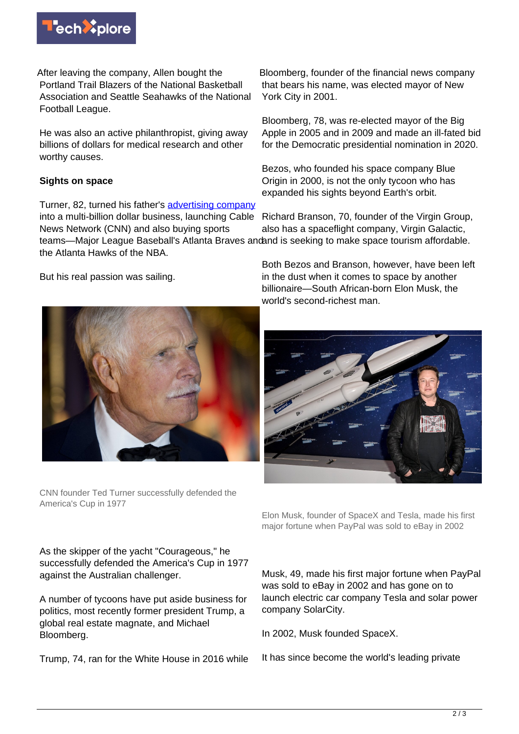

After leaving the company, Allen bought the Portland Trail Blazers of the National Basketball Association and Seattle Seahawks of the National Football League.

He was also an active philanthropist, giving away billions of dollars for medical research and other worthy causes.

## **Sights on space**

Turner, 82, turned his father's [advertising company](https://techxplore.com/tags/advertising+company/) into a multi-billion dollar business, launching Cable News Network (CNN) and also buying sports teams—Major League Baseball's Atlanta Braves andand is seeking to make space tourism affordable. the Atlanta Hawks of the NBA.

But his real passion was sailing.

Bloomberg, founder of the financial news company that bears his name, was elected mayor of New York City in 2001.

Bloomberg, 78, was re-elected mayor of the Big Apple in 2005 and in 2009 and made an ill-fated bid for the Democratic presidential nomination in 2020.

Bezos, who founded his space company Blue Origin in 2000, is not the only tycoon who has expanded his sights beyond Earth's orbit.

Richard Branson, 70, founder of the Virgin Group, also has a spaceflight company, Virgin Galactic,

Both Bezos and Branson, however, have been left in the dust when it comes to space by another billionaire—South African-born Elon Musk, the world's second-richest man.



CNN founder Ted Turner successfully defended the America's Cup in 1977



Elon Musk, founder of SpaceX and Tesla, made his first major fortune when PayPal was sold to eBay in 2002

As the skipper of the yacht "Courageous," he successfully defended the America's Cup in 1977 against the Australian challenger.

A number of tycoons have put aside business for politics, most recently former president Trump, a global real estate magnate, and Michael Bloomberg.

Trump, 74, ran for the White House in 2016 while

Musk, 49, made his first major fortune when PayPal was sold to eBay in 2002 and has gone on to launch electric car company Tesla and solar power company SolarCity.

In 2002, Musk founded SpaceX.

It has since become the world's leading private